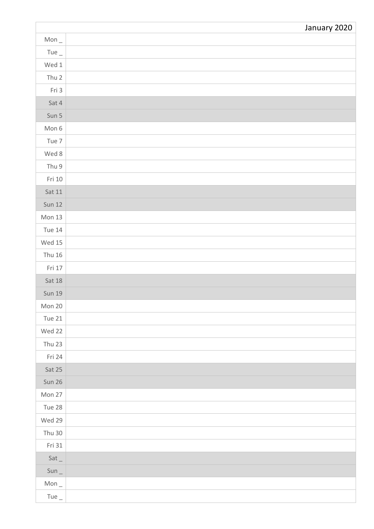|               | January 2020 |
|---------------|--------------|
| Mon $_{-}$    |              |
| Tue $_{-}$    |              |
| Wed 1         |              |
| Thu 2         |              |
| Fri 3         |              |
| Sat 4         |              |
| Sun 5         |              |
| Mon 6         |              |
| Tue 7         |              |
| Wed 8         |              |
| Thu 9         |              |
| Fri 10        |              |
| Sat 11        |              |
| <b>Sun 12</b> |              |
| Mon $13$      |              |
| Tue 14        |              |
| Wed $15$      |              |
| Thu 16        |              |
| Fri 17        |              |
| Sat 18        |              |
| <b>Sun 19</b> |              |
| Mon 20        |              |
| Tue 21        |              |
| Wed 22        |              |
| Thu 23        |              |
| Fri 24        |              |
| Sat 25        |              |
| Sun 26        |              |
| Mon 27        |              |
| Tue 28        |              |
| Wed 29        |              |
| Thu 30        |              |
| Fri 31        |              |
| Sat           |              |
| $Sun_$        |              |
| Mon $_{-}$    |              |
| Tue $_{-}$    |              |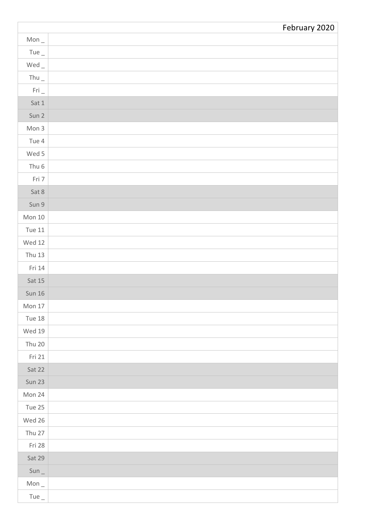|                                     | February 2020 |
|-------------------------------------|---------------|
| Mon $_{-}$                          |               |
| Tue $_{-}$                          |               |
| $Wed$ _                             |               |
| Thu $_{-}$                          |               |
| $\mathsf{Fri}\,\rule{0pt}{1.5pt}\,$ |               |
| Sat 1                               |               |
| Sun 2                               |               |
| Mon 3                               |               |
| Tue 4                               |               |
| Wed 5                               |               |
| Thu 6                               |               |
| Fri 7                               |               |
| Sat 8                               |               |
| Sun 9                               |               |
| Mon $10$                            |               |
| Tue 11                              |               |
| Wed 12                              |               |
| <b>Thu 13</b>                       |               |
| Fri 14                              |               |
| Sat 15                              |               |
| <b>Sun 16</b>                       |               |
| Mon 17                              |               |
| <b>Tue 18</b>                       |               |
| Wed 19                              |               |
| <b>Thu 20</b>                       |               |
| Fri 21                              |               |
| Sat 22                              |               |
| Sun 23                              |               |
| Mon 24                              |               |
| Tue 25                              |               |
| Wed 26                              |               |
| Thu 27                              |               |
| Fri 28                              |               |
| Sat 29                              |               |
| $Sun_$                              |               |
| Mon $_{-}$                          |               |
| Tue $_{-}$                          |               |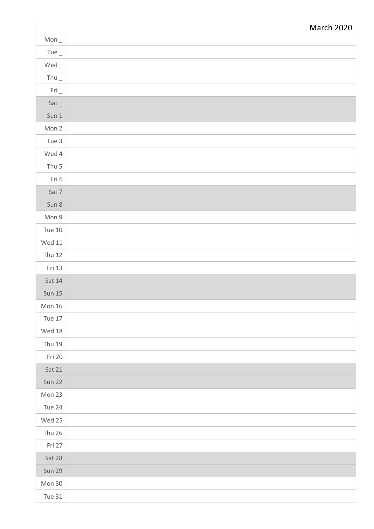|                        | March 2020 |
|------------------------|------------|
| Mon $_{-}$             |            |
| Tue $_{-}$             |            |
| $Wed_$                 |            |
| Thu $_{-}$             |            |
| $\mathsf{Fri}\,\_\!\_$ |            |
| Sat                    |            |
| Sun 1                  |            |
| Mon 2                  |            |
| Tue 3                  |            |
| Wed 4                  |            |
| Thu 5                  |            |
| Fri 6                  |            |
| Sat 7                  |            |
| Sun 8                  |            |
| Mon 9                  |            |
| <b>Tue 10</b>          |            |
| Wed $11$               |            |
| <b>Thu 12</b>          |            |
| Fri 13                 |            |
| Sat 14                 |            |
| <b>Sun 15</b>          |            |
| Mon $16$               |            |
| Tue 17                 |            |
| Wed $18$               |            |
| <b>Thu 19</b>          |            |
| Fri 20                 |            |
| Sat 21                 |            |
| Sun 22                 |            |
| Mon 23                 |            |
| Tue 24                 |            |
| Wed 25                 |            |
| Thu 26                 |            |
| Fri 27                 |            |
| Sat 28                 |            |
| <b>Sun 29</b>          |            |
| Mon 30                 |            |
| <b>Tue 31</b>          |            |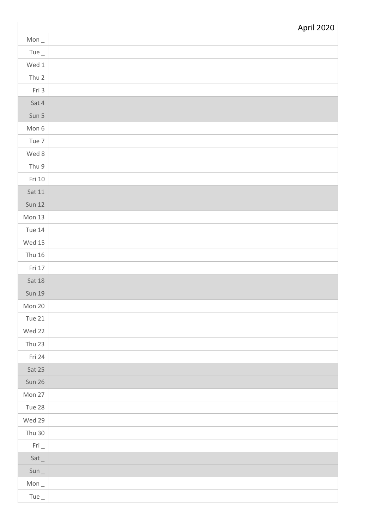|               | <b>April 2020</b> |
|---------------|-------------------|
| Mon $_{-}$    |                   |
| Tue $_{-}$    |                   |
| Wed $1$       |                   |
| Thu 2         |                   |
| Fri 3         |                   |
| Sat 4         |                   |
| Sun 5         |                   |
| Mon 6         |                   |
| Tue 7         |                   |
| Wed 8         |                   |
| Thu 9         |                   |
| Fri 10        |                   |
| Sat 11        |                   |
| <b>Sun 12</b> |                   |
| Mon $13$      |                   |
| Tue 14        |                   |
| Wed 15        |                   |
| Thu 16        |                   |
| Fri 17        |                   |
| Sat 18        |                   |
| <b>Sun 19</b> |                   |
| Mon 20        |                   |
| <b>Tue 21</b> |                   |
| Wed 22        |                   |
| Thu 23        |                   |
| Fri 24        |                   |
| Sat 25        |                   |
| Sun 26        |                   |
| Mon 27        |                   |
| Tue 28        |                   |
| Wed 29        |                   |
| Thu $30$      |                   |
| Fri           |                   |
| $Sat_{-}$     |                   |
| $Sun_$        |                   |
| Mon $_{-}$    |                   |
| Tue $_{-}$    |                   |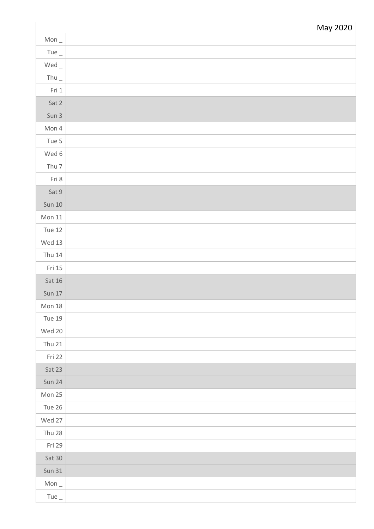|                                     | May 2020 |
|-------------------------------------|----------|
| Mon $_{-}$                          |          |
| Tue $_{-}$                          |          |
| $\mathsf{Wed}\,\rule{0pt}{1.5pt}\,$ |          |
| Thu $_{-}$                          |          |
| Fri 1                               |          |
| Sat 2                               |          |
| Sun 3                               |          |
| Mon 4                               |          |
| Tue 5                               |          |
| Wed 6                               |          |
| Thu 7                               |          |
| Fri 8                               |          |
| Sat 9                               |          |
| Sun 10                              |          |
| Mon 11                              |          |
| Tue 12                              |          |
| Wed 13                              |          |
| Thu 14                              |          |
| Fri 15                              |          |
| Sat $16$                            |          |
| <b>Sun 17</b>                       |          |
| Mon $18$                            |          |
| <b>Tue 19</b>                       |          |
| Wed 20                              |          |
| <b>Thu 21</b>                       |          |
| Fri 22                              |          |
| Sat 23                              |          |
| Sun 24                              |          |
| Mon 25                              |          |
| Tue 26                              |          |
| Wed 27                              |          |
| Thu 28                              |          |
| Fri 29                              |          |
| Sat 30                              |          |
| <b>Sun 31</b>                       |          |
| Mon $_{-}$                          |          |
| Tue $_{-}$                          |          |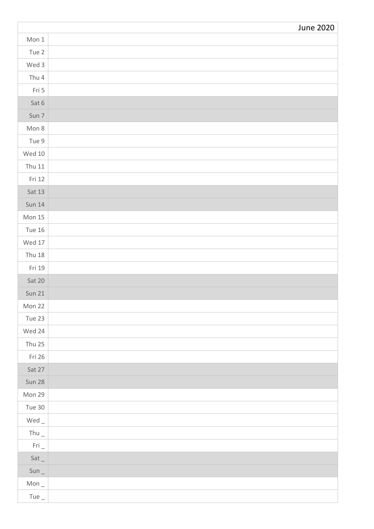|                                     | <b>June 2020</b> |
|-------------------------------------|------------------|
| Mon 1                               |                  |
| Tue 2                               |                  |
| Wed 3                               |                  |
| Thu 4                               |                  |
| Fri 5                               |                  |
| Sat 6                               |                  |
| Sun 7                               |                  |
| Mon 8                               |                  |
| Tue 9                               |                  |
| Wed $10$                            |                  |
| <b>Thu 11</b>                       |                  |
| Fri 12                              |                  |
| Sat 13                              |                  |
| <b>Sun 14</b>                       |                  |
| Mon $15$                            |                  |
| <b>Tue 16</b>                       |                  |
| Wed 17                              |                  |
| <b>Thu 18</b>                       |                  |
| Fri 19                              |                  |
| Sat 20                              |                  |
| <b>Sun 21</b>                       |                  |
| Mon 22                              |                  |
| Tue 23                              |                  |
| Wed 24                              |                  |
| Thu 25                              |                  |
| Fri 26                              |                  |
| Sat 27                              |                  |
| Sun 28                              |                  |
| Mon 29                              |                  |
| Tue 30                              |                  |
| $\mathsf{Wed}\,\rule{0pt}{1.5pt}\,$ |                  |
| Thu $_{-}$                          |                  |
| Fri                                 |                  |
| Sat                                 |                  |
| $Sun_$                              |                  |
| Mon $_{-}$                          |                  |
| Tue $_{-}$                          |                  |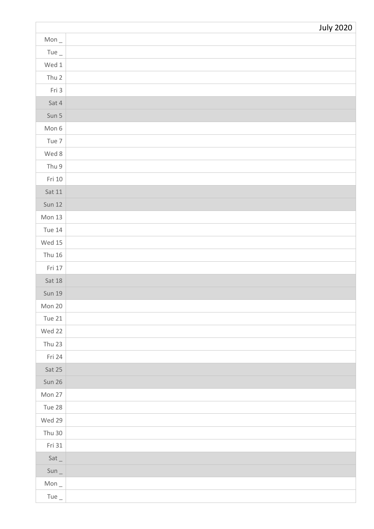|               | <b>July 2020</b> |
|---------------|------------------|
| Mon $_{-}$    |                  |
| Tue $_{-}$    |                  |
| Wed $1$       |                  |
| Thu 2         |                  |
| Fri 3         |                  |
| Sat 4         |                  |
| Sun 5         |                  |
| Mon 6         |                  |
| Tue 7         |                  |
| Wed 8         |                  |
| Thu 9         |                  |
| Fri $10$      |                  |
| Sat $11$      |                  |
| <b>Sun 12</b> |                  |
| Mon $13$      |                  |
| Tue 14        |                  |
| Wed $15$      |                  |
| Thu 16        |                  |
| Fri 17        |                  |
| Sat 18        |                  |
| <b>Sun 19</b> |                  |
| Mon 20        |                  |
| Tue $21$      |                  |
| Wed 22        |                  |
| Thu 23        |                  |
| Fri 24        |                  |
| Sat 25        |                  |
| Sun 26        |                  |
| Mon 27        |                  |
| Tue 28        |                  |
| Wed 29        |                  |
| Thu $30$      |                  |
| Fri 31        |                  |
| Sat           |                  |
| $Sun_$        |                  |
| Mon $_{-}$    |                  |
| Tue $_{-}$    |                  |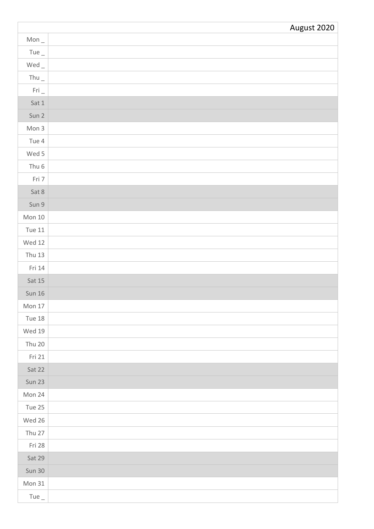|                    | August 2020 |
|--------------------|-------------|
| Mon $_{-}$         |             |
| Tue $_{-}$         |             |
| $Wed$ <sub>-</sub> |             |
| Thu $_{-}$         |             |
| $Fri_$             |             |
| Sat 1              |             |
| Sun 2              |             |
| Mon 3              |             |
| Tue 4              |             |
| Wed 5              |             |
| Thu 6              |             |
| Fri 7              |             |
| Sat 8              |             |
| Sun 9              |             |
| Mon $10$           |             |
| Tue 11             |             |
| Wed 12             |             |
| <b>Thu 13</b>      |             |
| Fri 14             |             |
| Sat 15             |             |
| <b>Sun 16</b>      |             |
| Mon $17$           |             |
| <b>Tue 18</b>      |             |
| Wed 19             |             |
| <b>Thu 20</b>      |             |
| Fri 21             |             |
| Sat 22             |             |
| Sun 23             |             |
| Mon 24             |             |
| Tue 25             |             |
| Wed 26             |             |
| Thu 27             |             |
| Fri 28             |             |
| Sat 29             |             |
| Sun 30             |             |
| Mon 31             |             |
| Tue $_{-}$         |             |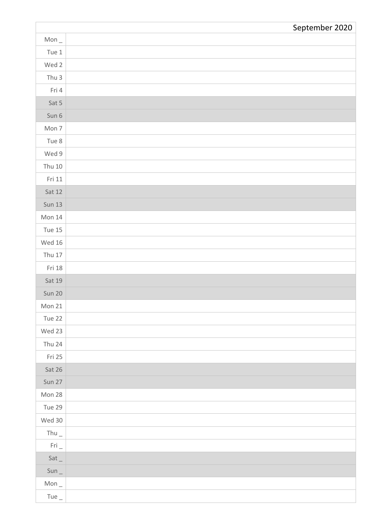|                        | September 2020 |
|------------------------|----------------|
| Mon $_{-}$             |                |
| Tue $1$                |                |
| Wed 2                  |                |
| Thu 3                  |                |
| Fri 4                  |                |
| Sat 5                  |                |
| Sun 6                  |                |
| Mon 7                  |                |
| Tue 8                  |                |
| Wed 9                  |                |
| <b>Thu 10</b>          |                |
| Fri 11                 |                |
| Sat 12                 |                |
| <b>Sun 13</b>          |                |
| Mon 14                 |                |
| Tue 15                 |                |
| Wed 16                 |                |
| Thu $17$               |                |
| Fri 18                 |                |
| Sat 19                 |                |
| Sun 20                 |                |
| Mon 21                 |                |
| Tue 22                 |                |
| Wed 23                 |                |
| Thu 24                 |                |
| Fri 25                 |                |
| Sat 26                 |                |
| Sun 27                 |                |
| Mon 28                 |                |
| Tue 29                 |                |
| Wed 30                 |                |
| Thu $_{-}$             |                |
| $\mathsf{Fri}\,\_\!\_$ |                |
| Sat                    |                |
| $Sun_$                 |                |
| Mon $_{-}$             |                |
| Tue $_{-}$             |                |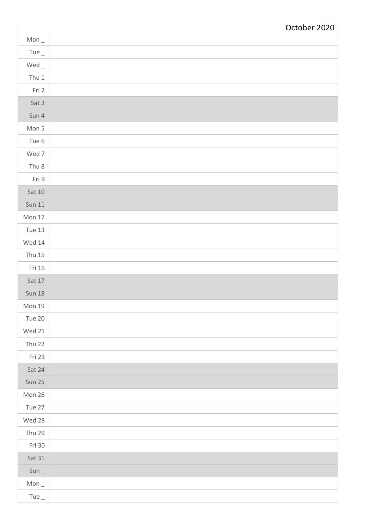|                                          | October 2020 |
|------------------------------------------|--------------|
| Mon $_{-}$                               |              |
| Tue $_{-}$                               |              |
| Wed_                                     |              |
| Thu $1$                                  |              |
| Fri 2                                    |              |
| Sat 3                                    |              |
| Sun 4                                    |              |
| Mon 5                                    |              |
| Tue 6                                    |              |
| Wed 7                                    |              |
| Thu 8                                    |              |
| Fri 9                                    |              |
| $\operatorname{\mathsf{Sat}}\nolimits10$ |              |
| <b>Sun 11</b>                            |              |
| Mon $12$                                 |              |
| Tue 13                                   |              |
| Wed $14$                                 |              |
| <b>Thu 15</b>                            |              |
| Fri 16                                   |              |
| Sat $17$                                 |              |
| <b>Sun 18</b>                            |              |
| Mon 19                                   |              |
| Tue 20                                   |              |
| Wed 21                                   |              |
| Thu 22                                   |              |
| Fri 23                                   |              |
| Sat 24                                   |              |
| Sun 25                                   |              |
| Mon 26                                   |              |
| Tue 27                                   |              |
| Wed 28                                   |              |
| <b>Thu 29</b>                            |              |
| Fri 30                                   |              |
| Sat 31                                   |              |
| $Sun_$                                   |              |
| Mon $_{-}$                               |              |
| Tue $_{-}$                               |              |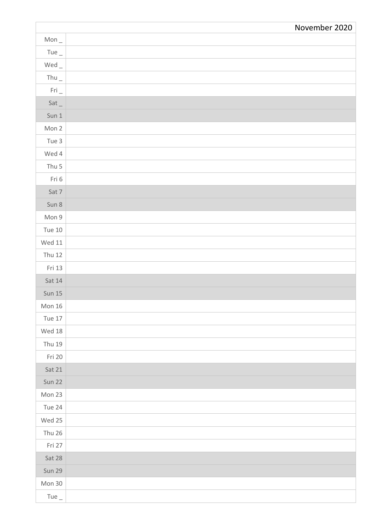|               | November 2020 |
|---------------|---------------|
| Mon $_{-}$    |               |
| Tue $_{-}$    |               |
| $Wed_$        |               |
| Thu $_{-}$    |               |
| $Fri_$        |               |
| Sat           |               |
| Sun 1         |               |
| Mon 2         |               |
| Tue 3         |               |
| Wed 4         |               |
| Thu 5         |               |
| Fri 6         |               |
| Sat 7         |               |
| Sun 8         |               |
| Mon 9         |               |
| Tue 10        |               |
| Wed $11$      |               |
| <b>Thu 12</b> |               |
| Fri 13        |               |
| Sat $14$      |               |
| <b>Sun 15</b> |               |
| Mon 16        |               |
| Tue 17        |               |
| Wed $18$      |               |
| Thu 19        |               |
| Fri 20        |               |
| Sat 21        |               |
| Sun 22        |               |
| Mon 23        |               |
| Tue 24        |               |
| Wed 25        |               |
| <b>Thu 26</b> |               |
| Fri 27        |               |
| Sat 28        |               |
| <b>Sun 29</b> |               |
| Mon 30        |               |
| Tue $_{-}$    |               |